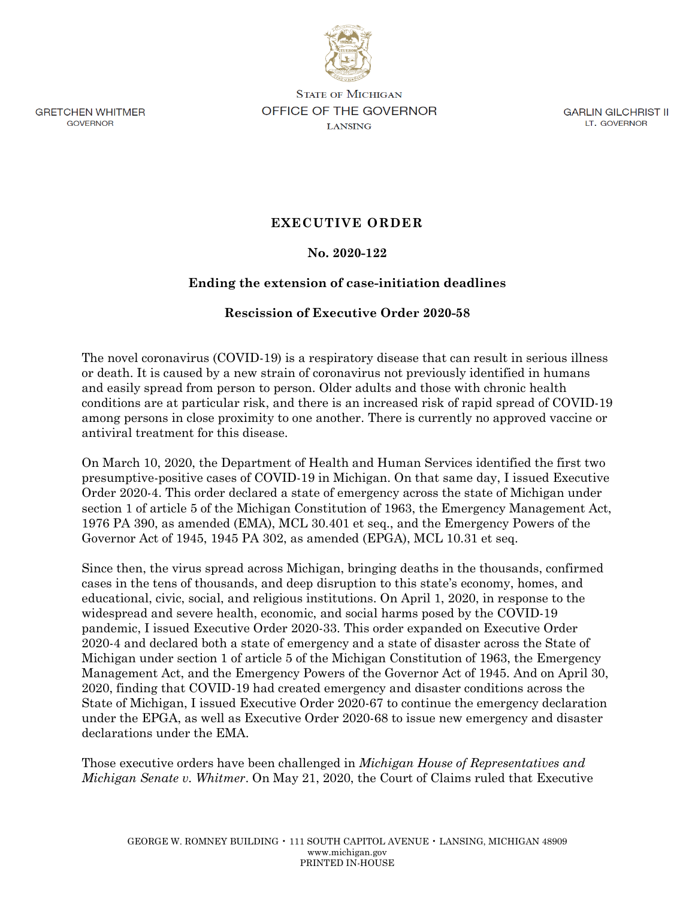

**GRETCHEN WHITMER** GOVERNOR

**STATE OF MICHIGAN OFFICE OF THE GOVERNOR LANSING** 

GARLIN GILCHRIST II LT. GOVERNOR

## **EXECUTIVE ORDER**

## **No. 2020-122**

## **Ending the extension of case-initiation deadlines**

## **Rescission of Executive Order 2020-58**

The novel coronavirus (COVID-19) is a respiratory disease that can result in serious illness or death. It is caused by a new strain of coronavirus not previously identified in humans and easily spread from person to person. Older adults and those with chronic health conditions are at particular risk, and there is an increased risk of rapid spread of COVID-19 among persons in close proximity to one another. There is currently no approved vaccine or antiviral treatment for this disease.

On March 10, 2020, the Department of Health and Human Services identified the first two presumptive-positive cases of COVID-19 in Michigan. On that same day, I issued Executive Order 2020-4. This order declared a state of emergency across the state of Michigan under section 1 of article 5 of the Michigan Constitution of 1963, the Emergency Management Act, 1976 PA 390, as amended (EMA), MCL 30.401 et seq., and the Emergency Powers of the Governor Act of 1945, 1945 PA 302, as amended (EPGA), MCL 10.31 et seq.

Since then, the virus spread across Michigan, bringing deaths in the thousands, confirmed cases in the tens of thousands, and deep disruption to this state's economy, homes, and educational, civic, social, and religious institutions. On April 1, 2020, in response to the widespread and severe health, economic, and social harms posed by the COVID-19 pandemic, I issued Executive Order 2020-33. This order expanded on Executive Order 2020-4 and declared both a state of emergency and a state of disaster across the State of Michigan under section 1 of article 5 of the Michigan Constitution of 1963, the Emergency Management Act, and the Emergency Powers of the Governor Act of 1945. And on April 30, 2020, finding that COVID-19 had created emergency and disaster conditions across the State of Michigan, I issued Executive Order 2020-67 to continue the emergency declaration under the EPGA, as well as Executive Order 2020-68 to issue new emergency and disaster declarations under the EMA.

Those executive orders have been challenged in *Michigan House of Representatives and Michigan Senate v. Whitmer*. On May 21, 2020, the Court of Claims ruled that Executive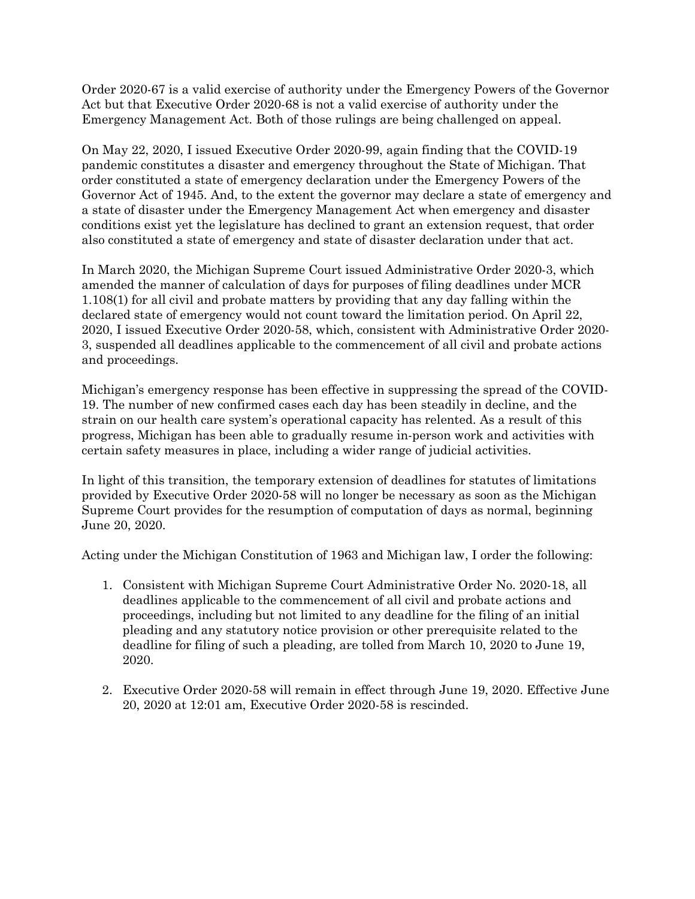Order 2020-67 is a valid exercise of authority under the Emergency Powers of the Governor Act but that Executive Order 2020-68 is not a valid exercise of authority under the Emergency Management Act. Both of those rulings are being challenged on appeal.

On May 22, 2020, I issued Executive Order 2020-99, again finding that the COVID-19 pandemic constitutes a disaster and emergency throughout the State of Michigan. That order constituted a state of emergency declaration under the Emergency Powers of the Governor Act of 1945. And, to the extent the governor may declare a state of emergency and a state of disaster under the Emergency Management Act when emergency and disaster conditions exist yet the legislature has declined to grant an extension request, that order also constituted a state of emergency and state of disaster declaration under that act.

In March 2020, the Michigan Supreme Court issued Administrative Order 2020-3, which amended the manner of calculation of days for purposes of filing deadlines under MCR 1.108(1) for all civil and probate matters by providing that any day falling within the declared state of emergency would not count toward the limitation period. On April 22, 2020, I issued Executive Order 2020-58, which, consistent with Administrative Order 2020- 3, suspended all deadlines applicable to the commencement of all civil and probate actions and proceedings.

Michigan's emergency response has been effective in suppressing the spread of the COVID-19. The number of new confirmed cases each day has been steadily in decline, and the strain on our health care system's operational capacity has relented. As a result of this progress, Michigan has been able to gradually resume in-person work and activities with certain safety measures in place, including a wider range of judicial activities.

In light of this transition, the temporary extension of deadlines for statutes of limitations provided by Executive Order 2020-58 will no longer be necessary as soon as the Michigan Supreme Court provides for the resumption of computation of days as normal, beginning June 20, 2020.

Acting under the Michigan Constitution of 1963 and Michigan law, I order the following:

- 1. Consistent with Michigan Supreme Court Administrative Order No. 2020-18, all deadlines applicable to the commencement of all civil and probate actions and proceedings, including but not limited to any deadline for the filing of an initial pleading and any statutory notice provision or other prerequisite related to the deadline for filing of such a pleading, are tolled from March 10, 2020 to June 19, 2020.
- 2. Executive Order 2020-58 will remain in effect through June 19, 2020. Effective June 20, 2020 at 12:01 am, Executive Order 2020-58 is rescinded.